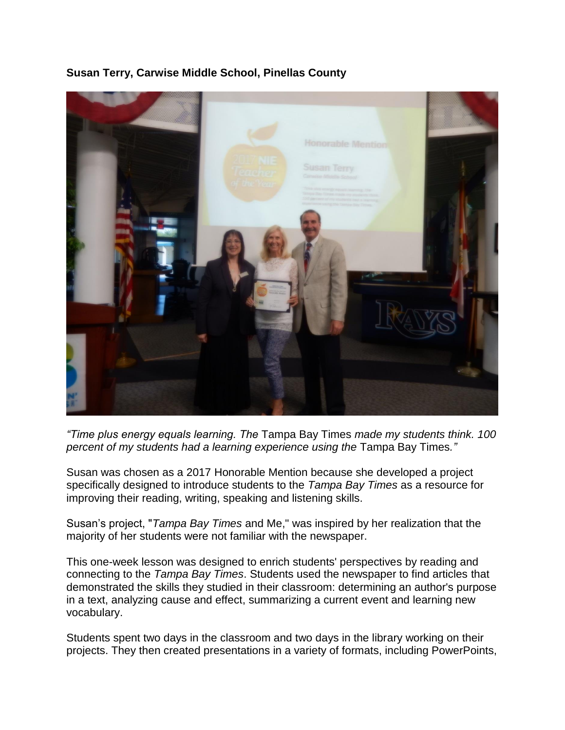

## **Susan Terry, Carwise Middle School, Pinellas County**

*"Time plus energy equals learning. The* Tampa Bay Times *made my students think. 100 percent of my students had a learning experience using the* Tampa Bay Times*."*

Susan was chosen as a 2017 Honorable Mention because she developed a project specifically designed to introduce students to the *Tampa Bay Times* as a resource for improving their reading, writing, speaking and listening skills.

Susan's project, "*Tampa Bay Times* and Me," was inspired by her realization that the majority of her students were not familiar with the newspaper.

This one-week lesson was designed to enrich students' perspectives by reading and connecting to the *Tampa Bay Times*. Students used the newspaper to find articles that demonstrated the skills they studied in their classroom: determining an author's purpose in a text, analyzing cause and effect, summarizing a current event and learning new vocabulary.

Students spent two days in the classroom and two days in the library working on their projects. They then created presentations in a variety of formats, including PowerPoints,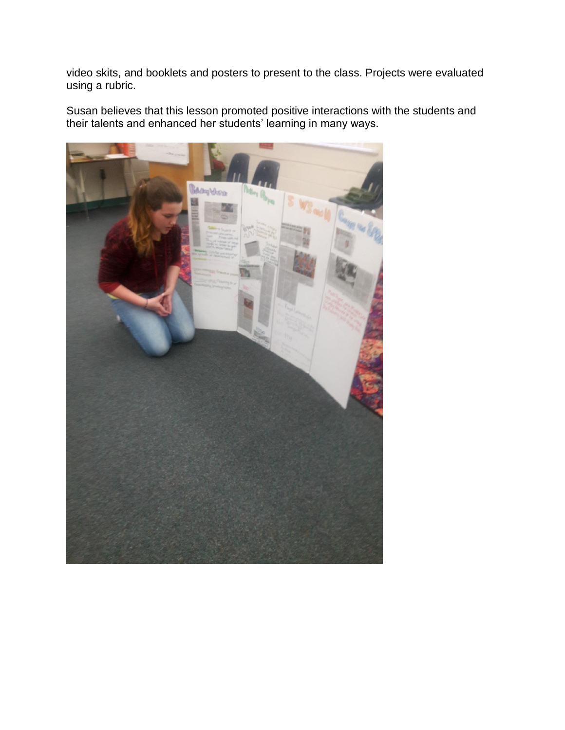video skits, and booklets and posters to present to the class. Projects were evaluated using a rubric.

Susan believes that this lesson promoted positive interactions with the students and their talents and enhanced her students' learning in many ways.